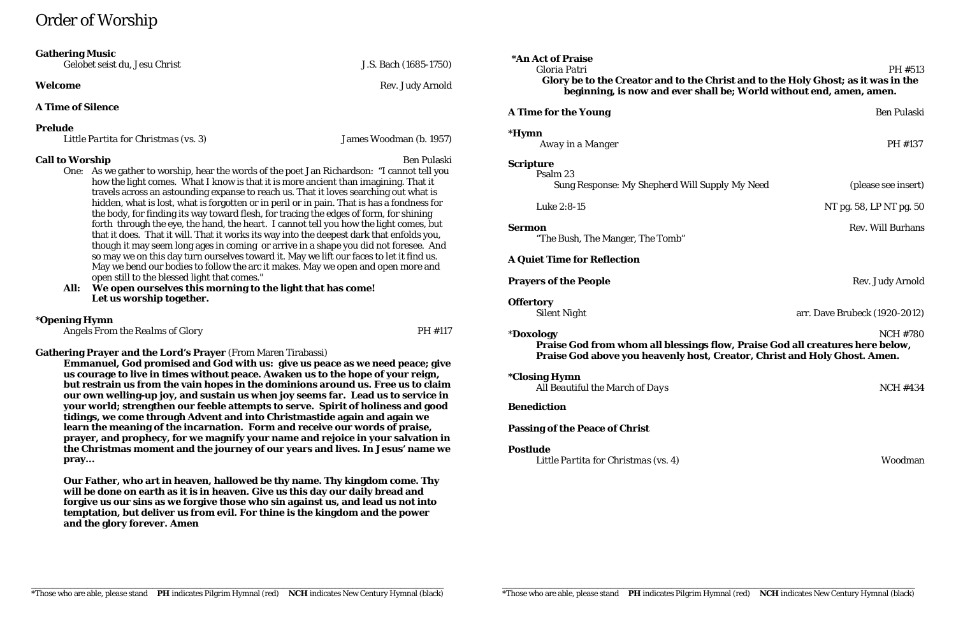# Order of Worship

### **Gathering Music**

*Gelobet seist du, Jesu Christ* J.S. Bach (1685-1750)

# **A Time of Silence**

# **Prelude**

*Little Partita for Christmas (vs. 3)* James Woodman (b. 1957)

# **Call to Worship** Ben Pulaski

- One: As we gather to worship, hear the words of the poet Jan Richardson: "I cannot tell you how the light comes. What I know is that it is more ancient than imagining. That it travels across an astounding expanse to reach us. That it loves searching out what is hidden, what is lost, what is forgotten or in peril or in pain. That is has a fondness for the body, for finding its way toward flesh, for tracing the edges of form, for shining forth through the eye, the hand, the heart. I cannot tell you how the light comes, but that it does. That it will. That it works its way into the deepest dark that enfolds you, though it may seem long ages in coming or arrive in a shape you did not foresee. And so may we on this day turn ourselves toward it. May we lift our faces to let it find us. May we bend our bodies to follow the arc it makes. May we open and open more and open still to the blessed light that comes."
- **All: We open ourselves this morning to the light that has come! Let us worship together.**

# **\*Opening Hymn**

*Angels From the Realms of Glory* PH #117

**\*Hymn** *Away in a Manger* PH #137

# **Gathering Prayer and the Lord's Prayer** (From Maren Tirabassi)

**\*Closing Hymn** All Beautiful the March of Days **NOMES** NCH #434

**Emmanuel, God promised and God with us: give us peace as we need peace; give us courage to live in times without peace. Awaken us to the hope of your reign, but restrain us from the vain hopes in the dominions around us. Free us to claim our own welling-up joy, and sustain us when joy seems far. Lead us to service in your world; strengthen our feeble attempts to serve. Spirit of holiness and good tidings, we come through Advent and into Christmastide again and again we learn the meaning of the incarnation. Form and receive our words of praise, prayer, and prophecy, for we magnify your name and rejoice in your salvation in the Christmas moment and the journey of our years and lives. In Jesus' name we pray...**

**Our Father, who art in heaven, hallowed be thy name. Thy kingdom come. Thy will be done on earth as it is in heaven. Give us this day our daily bread and forgive us our sins as we forgive those who sin against us, and lead us not into temptation, but deliver us from evil. For thine is the kingdom and the power and the glory forever. Amen**

**Welcome** Rev. Judy Arnold

**\*An Act of Praise**

# **A Time for the Young** Ben Pulaski

### *Gloria Patri* PH #513 **Glory be to the Creator and to the Christ and to the Holy Ghost; as it was in the beginning, is now and ever shall be; World without end, amen, amen.**

Luke 2:8-15 NT pg. 58, LP NT pg. 50

**Sermon** Rev. Will Burhans

# **Scripture**

Psalm 23 Sung Response: *My Shepherd Will Supply My Need* (please see insert)

"The Bush, The Manger, The Tomb"

# **A Quiet Time for Reflection**

# **Prayers of the People** Rev. Judy Arnold

**Offertory**

*Silent Night* arr. Dave Brubeck (1920-2012)

\***Doxology** NCH #780 **Praise God from whom all blessings flow, Praise God all creatures here below, Praise God above you heavenly host, Creator, Christ and Holy Ghost. Amen.**

# **Benediction**

# **Passing of the Peace of Christ**

# **Postlude**

*Little Partita for Christmas (vs. 4)* Woodman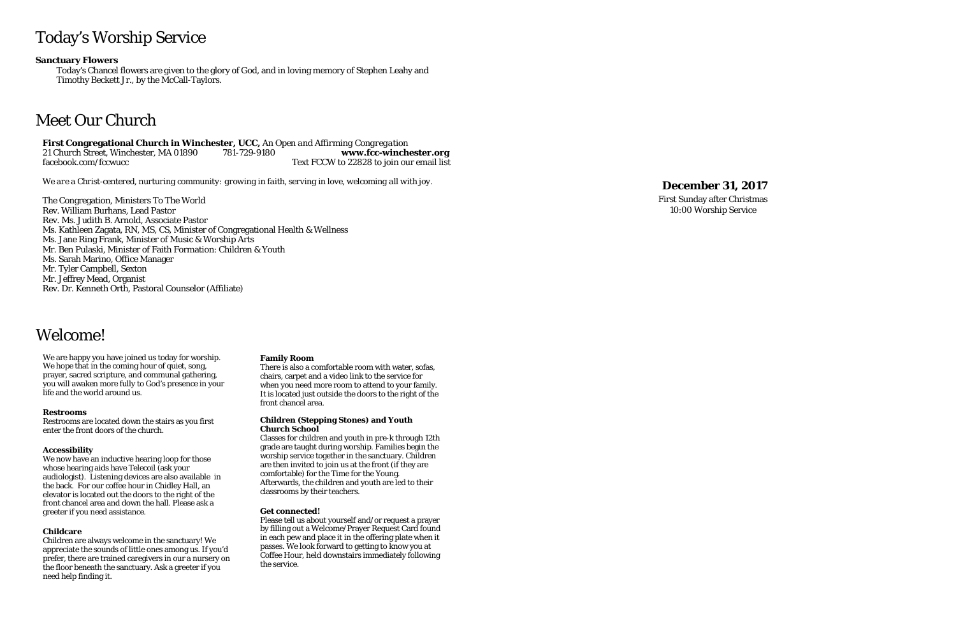# Today's Worship Service

**Sanctuary Flowers** 

Today's Chancel flowers are given to the glory of God, and in loving memory of Stephen Leahy and Timothy Beckett Jr., by the McCall -Taylors .

# Meet Our Church

**First Congregational Church in Winchester, UCC,** *An Open and Affirming Congregation* 21 Church Street, Winchester, MA 01890 781-729-9180 -9180 **www.fcc -winchester.org** facebook.com/fccwucc Text FCCW to 22828 to join our email list

*We are a Christ -centered, nurturing community: growing in faith, serving in love, welcoming all with joy.*

The Congregation, Ministers To The World Rev. William Burhans, Lead Pastor Rev. Ms. Judith B. Arnold, Associate Pastor Ms. Kathleen Zagata, RN, MS, CS, Minister of Congregational Health & Wellness Ms. Jane Ring Frank, Minister of Music & Worship Arts Mr. Ben Pulaski, Minister of Faith Formation: Children & Youth Ms. Sarah Marino, Office Manager Mr. Tyler Campbell, Sexton Mr. Jeffrey Mead, Organist Rev. Dr. Kenneth Orth, Pastoral Counselor (Affiliate)

# **Dece mber 31 , 2017**

First Sunday after Christmas 10:00 Worship Service

# Welcome!

We are happy you have joined us today for worship. We hope that in the coming hour of quiet, song, prayer, sacred scripture, and communal gathering, you will awaken more fully to God's presence in your life and the world around us.

### **Restrooms**

Restrooms are located down the stairs as you first enter the front doors of the church.

### **Accessibility**

We now have an inductive hearing loop for those whose hearing aids have Telecoil (ask your audiologist). Listening devices are also available in the back. For our coffee hour in Chidley Hall, an elevator is located out the doors to the right of the front chancel area and down the hall. Please ask a greeter if you need assistance.

### **Childcare**

Children are always welcome in the sanctuary! We appreciate the sounds of little ones among us. If you'd prefer, there are trained caregivers in our a nursery on the floor beneath the sanctuary. Ask a greeter if you need help finding it.

### **Family Room**

There is also a comfortable room with water, sofas, chairs, carpet and a video link to the service for when you need more room to attend to your family. It is located just outside the doors to the right of the front chancel area.

#### **Children (Stepping Stones) and Youth Church School**

Classes for children and youth in pre -k through 12th grade are taught during worship. Families begin the worship service together in the sanctuary. Children are then invited to join us at the front (if they are comfortable) for the Time for the Young. Afterwards, the children and youth are led to their classrooms by their teachers.

### **Get connected!**

Please tell us about yourself and/or request a prayer by filling out a Welcome/Prayer Request Card found in each pew and place it in the offering plate when it passes. We look forward to getting to know you at Coffee Hour, held downstairs immediately following the service.